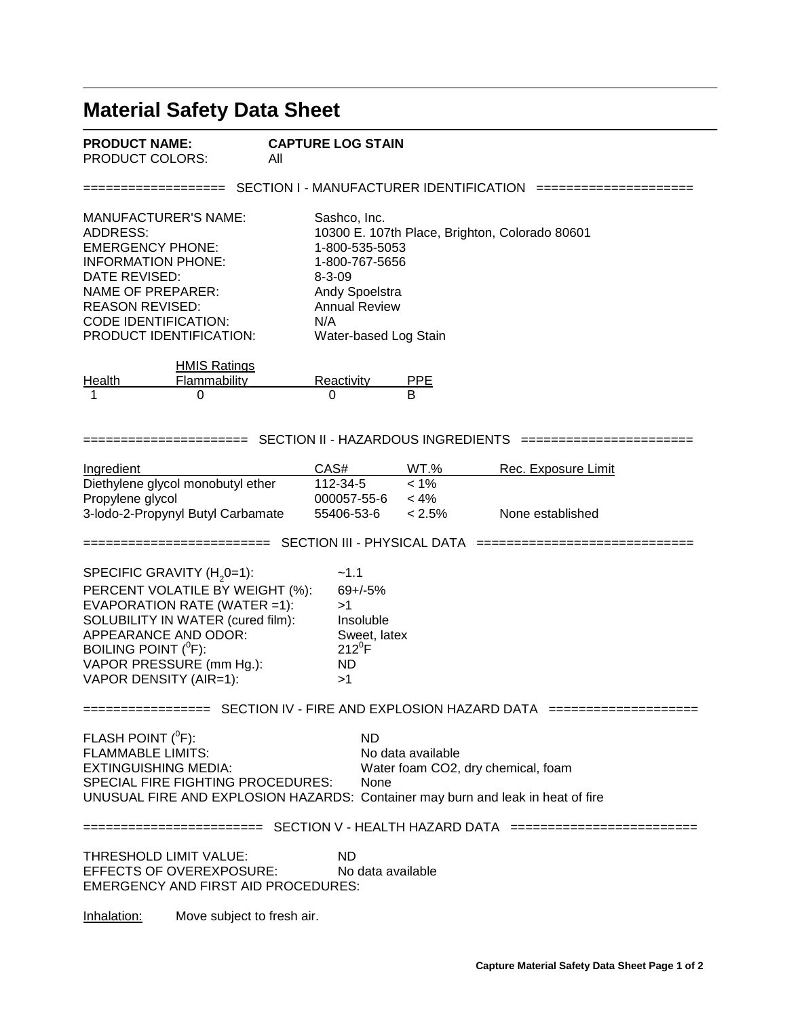## **Material Safety Data Sheet**

| <b>PRODUCT NAME:</b>   | C/  |
|------------------------|-----|
| <b>PRODUCT COLORS:</b> | Αll |

=================== SECTION I - MANUFACTURER IDENTIFICATION =====================

| Sashco, Inc.                                   |
|------------------------------------------------|
| 10300 E. 107th Place, Brighton, Colorado 80601 |
| 1-800-535-5053                                 |
| 1-800-767-5656                                 |
| $8 - 3 - 09$                                   |
| <b>Andy Spoelstra</b>                          |
| <b>Annual Review</b>                           |
| N/A                                            |
| Water-based Log Stain                          |
|                                                |

|        | <b>HMIS Ratings</b> |            |            |
|--------|---------------------|------------|------------|
| Health | Flammability        | Reactivity | <b>PPF</b> |
|        |                     |            |            |

====================== SECTION II - HAZARDOUS INGREDIENTS =======================

| <b>Ingredient</b>                 | CAS#        | WT.%      | Rec. Exposure Limit |
|-----------------------------------|-------------|-----------|---------------------|
| Diethylene glycol monobutyl ether | 112-34-5    | $< 1\%$   |                     |
| Propylene glycol                  | 000057-55-6 | $< 4\%$   |                     |
| 3-lodo-2-Propynyl Butyl Carbamate | 55406-53-6  | $< 2.5\%$ | None established    |

========================= SECTION III - PHYSICAL DATA =============================

SPECIFIC GRAVITY (H<sub>2</sub>0=1):  $\sim$ 1.1 PERCENT VOLATILE BY WEIGHT (%): 69+/-5% EVAPORATION RATE (WATER =1): >1 SOLUBILITY IN WATER (cured film): Insoluble APPEARANCE AND ODOR: Sweet, latex BOILING POINT  $(^0F)$ : F): 212<sup>0</sup>F VAPOR PRESSURE (mm Hg.): ND VAPOR DENSITY (AIR=1): >1

================= SECTION IV - FIRE AND EXPLOSION HAZARD DATA ====================

FLASH POINT  $(^0F)$ : F): ND FLAMMABLE LIMITS:<br>EXTINGUISHING MEDIA: Water foam CO2, Water foam CO2, dry chemical, foam SPECIAL FIRE FIGHTING PROCEDURES: None UNUSUAL FIRE AND EXPLOSION HAZARDS: Container may burn and leak in heat of fire

======================== SECTION V - HEALTH HAZARD DATA =========================

THRESHOLD LIMIT VALUE: ND EFFECTS OF OVEREXPOSURE: No data available EMERGENCY AND FIRST AID PROCEDURES:

Inhalation: Move subject to fresh air.